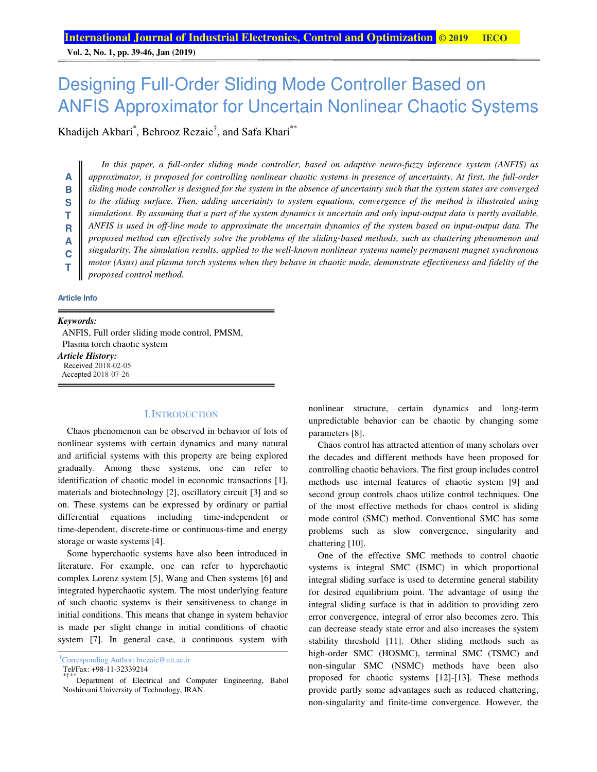**Vol. 2, No. 1, pp. 39-46, Jan (2019)**

# Designing Full-Order Sliding Mode Controller Based on ANFIS Approximator for Uncertain Nonlinear Chaotic Systems

Khadijeh Akbari<sup>\*</sup>, Behrooz Rezaie<sup>†</sup>, and Safa Khari<sup>\*\*</sup>

*In this paper, a full-order sliding mode controller, based on adaptive neuro-fuzzy inference system (ANFIS) as approximator, is proposed for controlling nonlinear chaotic systems in presence of uncertainty. At first, the full-order sliding mode controller is designed for the system in the absence of uncertainty such that the system states are converged to the sliding surface. Then, adding uncertainty to system equations, convergence of the method is illustrated using simulations. By assuming that a part of the system dynamics is uncertain and only input-output data is partly available, ANFIS is used in off-line mode to approximate the uncertain dynamics of the system based on input-output data. The proposed method can effectively solve the problems of the sliding-based methods, such as chattering phenomenon and singularity. The simulation results, applied to the well-known nonlinear systems namely permanent magnet synchronous motor (Asus) and plasma torch systems when they behave in chaotic mode, demonstrate effectiveness and fidelity of the proposed control method.*  **A B S T R A C T**

**Article Info** 

*Keywords:*  ANFIS, Full order sliding mode control, PMSM, Plasma torch chaotic system *Article History:*  Received 2018-02-05 Accepted 2018-07-26

## I.INTRODUCTION

Chaos phenomenon can be observed in behavior of lots of nonlinear systems with certain dynamics and many natural and artificial systems with this property are being explored gradually. Among these systems, one can refer to identification of chaotic model in economic transactions [1], materials and biotechnology [2], oscillatory circuit [3] and so on. These systems can be expressed by ordinary or partial differential equations including time-independent or time-dependent, discrete-time or continuous-time and energy storage or waste systems [4].

Some hyperchaotic systems have also been introduced in literature. For example, one can refer to hyperchaotic complex Lorenz system [5], Wang and Chen systems [6] and integrated hyperchaotic system. The most underlying feature of such chaotic systems is their sensitiveness to change in initial conditions. This means that change in system behavior is made per slight change in initial conditions of chaotic system [7]. In general case, a continuous system with nonlinear structure, certain dynamics and long-term unpredictable behavior can be chaotic by changing some parameters [8].

Chaos control has attracted attention of many scholars over the decades and different methods have been proposed for controlling chaotic behaviors. The first group includes control methods use internal features of chaotic system [9] and second group controls chaos utilize control techniques. One of the most effective methods for chaos control is sliding mode control (SMC) method. Conventional SMC has some problems such as slow convergence, singularity and chattering [10].

One of the effective SMC methods to control chaotic systems is integral SMC (ISMC) in which proportional integral sliding surface is used to determine general stability for desired equilibrium point. The advantage of using the integral sliding surface is that in addition to providing zero error convergence, integral of error also becomes zero. This can decrease steady state error and also increases the system stability threshold [11]. Other sliding methods such as high-order SMC (HOSMC), terminal SMC (TSMC) and non-singular SMC (NSMC) methods have been also proposed for chaotic systems [12]-[13]. These methods provide partly some advantages such as reduced chattering, non-singularity and finite-time convergence. However, the

<sup>†</sup>Corresponding Author: brezaie@nit.ac.ir

Tel/Fax: +98-11-32339214

<sup>\*†\*\*</sup>Department of Electrical and Computer Engineering, Babol Noshirvani University of Technology, IRAN.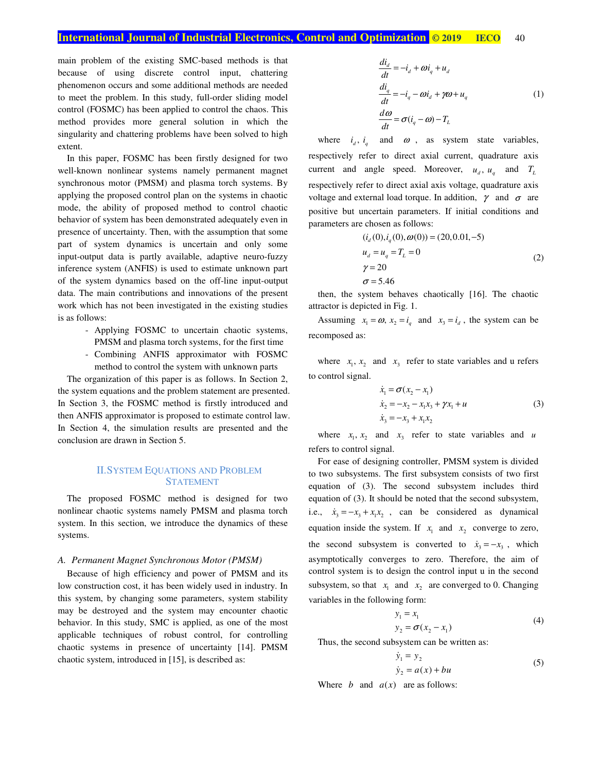main problem of the existing SMC-based methods is that because of using discrete control input, chattering phenomenon occurs and some additional methods are needed to meet the problem. In this study, full-order sliding model control (FOSMC) has been applied to control the chaos. This method provides more general solution in which the singularity and chattering problems have been solved to high extent.

In this paper, FOSMC has been firstly designed for two well-known nonlinear systems namely permanent magnet synchronous motor (PMSM) and plasma torch systems. By applying the proposed control plan on the systems in chaotic mode, the ability of proposed method to control chaotic behavior of system has been demonstrated adequately even in presence of uncertainty. Then, with the assumption that some part of system dynamics is uncertain and only some input-output data is partly available, adaptive neuro-fuzzy inference system (ANFIS) is used to estimate unknown part of the system dynamics based on the off-line input-output data. The main contributions and innovations of the present work which has not been investigated in the existing studies is as follows:

- Applying FOSMC to uncertain chaotic systems, PMSM and plasma torch systems, for the first time
- Combining ANFIS approximator with FOSMC method to control the system with unknown parts

The organization of this paper is as follows. In Section 2, the system equations and the problem statement are presented. In Section 3, the FOSMC method is firstly introduced and then ANFIS approximator is proposed to estimate control law. In Section 4, the simulation results are presented and the conclusion are drawn in Section 5.

## II.SYSTEM EQUATIONS AND PROBLEM **STATEMENT**

The proposed FOSMC method is designed for two nonlinear chaotic systems namely PMSM and plasma torch system. In this section, we introduce the dynamics of these systems.

### *A. Permanent Magnet Synchronous Motor (PMSM)*

Because of high efficiency and power of PMSM and its low construction cost, it has been widely used in industry. In this system, by changing some parameters, system stability may be destroyed and the system may encounter chaotic behavior. In this study, SMC is applied, as one of the most applicable techniques of robust control, for controlling chaotic systems in presence of uncertainty [14]. PMSM chaotic system, introduced in [15], is described as:

$$
\frac{di_d}{dt} = -i_d + \omega i_q + u_d
$$
  
\n
$$
\frac{di_q}{dt} = -i_q - \omega i_d + \gamma \omega + u_q
$$
  
\n
$$
\frac{d\omega}{dt} = \sigma (i_q - \omega) - T_L
$$
\n(1)

where  $i_a$ ,  $i_a$  and  $\omega$ , as system state variables, respectively refer to direct axial current, quadrature axis current and angle speed. Moreover,  $u_d$ ,  $u_a$  and  $T_L$ respectively refer to direct axial axis voltage, quadrature axis voltage and external load torque. In addition,  $\gamma$  and  $\sigma$  are positive but uncertain parameters. If initial conditions and parameters are chosen as follows:

$$
(id(0), iq(0), \omega(0)) = (20, 0.01, -5)
$$
  
\n
$$
ud = uq = TL = 0
$$
  
\n
$$
\gamma = 20
$$
  
\n
$$
\sigma = 5.46
$$
 (2)

then, the system behaves chaotically [16]. The chaotic attractor is depicted in Fig. 1.

Assuming  $x_1 = \omega$ ,  $x_2 = i_q$  and  $x_3 = i_d$ , the system can be recomposed as:

where  $x_1, x_2$  and  $x_3$  refer to state variables and u refers to control signal.

$$
\dot{x}_1 = \sigma(x_2 - x_1) \n\dot{x}_2 = -x_2 - x_1x_3 + \gamma x_1 + u \n\dot{x}_3 = -x_3 + x_1x_2
$$
\n(3)

where  $x_1, x_2$  and  $x_3$  refer to state variables and *u* refers to control signal.

For ease of designing controller, PMSM system is divided to two subsystems. The first subsystem consists of two first equation of (3). The second subsystem includes third equation of (3). It should be noted that the second subsystem, i.e.,  $\dot{x}_3 = -x_3 + x_1 x_2$ , can be considered as dynamical equation inside the system. If  $x_1$  and  $x_2$  converge to zero, the second subsystem is converted to  $\dot{x}_3 = -x_3$ , which asymptotically converges to zero. Therefore, the aim of control system is to design the control input u in the second subsystem, so that  $x_1$  and  $x_2$  are converged to 0. Changing variables in the following form:

$$
y_1 = x_1
$$
  
\n
$$
y_2 = \sigma(x_2 - x_1)
$$
\n(4)

Thus, the second subsystem can be written as:

$$
\dot{y}_1 = y_2
$$
  
\n
$$
\dot{y}_2 = a(x) + bu
$$
\n(5)

Where *b* and  $a(x)$  are as follows: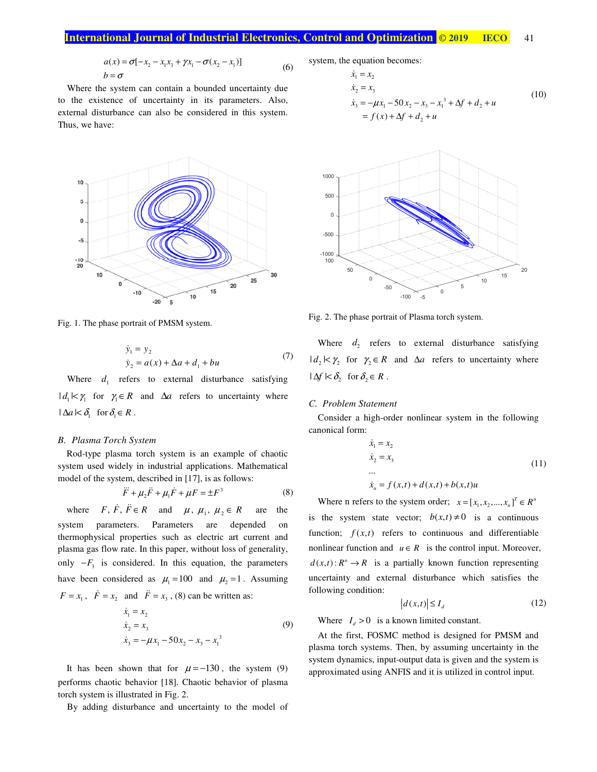## **International Journal of Industrial Electronics, Control and Optimization © 2019 IECO.** 41

$$
a(x) = \sigma[-x_2 - x_1x_3 + \gamma x_1 - \sigma(x_2 - x_1)]
$$
  
\n
$$
b = \sigma
$$
 (6)

Where the system can contain a bounded uncertainty due to the existence of uncertainty in its parameters. Also, external disturbance can also be considered in this system. Thus, we have:



Fig. 1. The phase portrait of PMSM system.

$$
\dot{y}_1 = y_2 \n\dot{y}_2 = a(x) + \Delta a + d_1 + bu
$$
\n(7)

Where  $d_1$  refers to external disturbance satisfying  $| d_1 | \lt \gamma_1$  for  $\gamma_1 \in R$  and  $\Delta a$  refers to uncertainty where  $|\Delta a| < \delta_1$  for  $\delta_1 \in R$ .

### *B. Plasma Torch System*

Rod-type plasma torch system is an example of chaotic system used widely in industrial applications. Mathematical model of the system, described in [17], is as follows:

$$
\ddot{F} + \mu_2 \ddot{F} + \mu_1 \dot{F} + \mu F = \pm F^3
$$
 (8)

where  $F, \dot{F}, \ddot{F} \in R$  and  $\mu, \mu_1, \mu_2 \in R$  are the system parameters. Parameters are depended on thermophysical properties such as electric art current and plasma gas flow rate. In this paper, without loss of generality, only  $-F_3$  is considered. In this equation, the parameters have been considered as  $\mu_1 = 100$  and  $\mu_2 = 1$ . Assuming  $F = x_1$ ,  $\dot{F} = x_2$  and  $\ddot{F} = x_3$ , (8) can be written as:

$$
\dot{x}_1 = x_2 \n\dot{x}_2 = x_3 \n\dot{x}_3 = -\mu x_1 - 50x_2 - x_3 - x_1^3
$$
\n(9)

It has been shown that for  $\mu = -130$ , the system (9) performs chaotic behavior [18]. Chaotic behavior of plasma torch system is illustrated in Fig. 2.

By adding disturbance and uncertainty to the model of

system, the equation becomes:

$$
\dot{x}_1 = x_2
$$
\n
$$
\dot{x}_2 = x_3
$$
\n
$$
\dot{x}_3 = -\mu x_1 - 50 x_2 - x_3 - x_1^3 + \Delta f + d_2 + u
$$
\n
$$
= f(x) + \Delta f + d_2 + u
$$
\n(10)



Fig. 2. The phase portrait of Plasma torch system.

Where  $d_2$  refers to external disturbance satisfying  $\vert d, \vert \lt \gamma$  for  $\gamma$  ∈ R and  $\Delta a$  refers to uncertainty where  $|\Delta f| < \delta_2$  for  $\delta_2 \in R$ .

### *C. Problem Statement*

Consider a high-order nonlinear system in the following canonical form:

$$
\dot{x}_1 = x_2 \n\dot{x}_2 = x_3 \n... \n\dot{x}_n = f(x,t) + d(x,t) + b(x,t)u
$$
\n(11)

Where n refers to the system order;  $x = [x_1, x_2, ..., x_n]^T \in R^n$ is the system state vector;  $b(x,t) \neq 0$  is a continuous function;  $f(x,t)$  refers to continuous and differentiable nonlinear function and  $u \in R$  is the control input. Moreover,  $d(x,t): R^n \to R$  is a partially known function representing uncertainty and external disturbance which satisfies the following condition:

$$
|d(x,t)| \le I_d \tag{12}
$$

Where  $I_d > 0$  is a known limited constant.

At the first, FOSMC method is designed for PMSM and plasma torch systems. Then, by assuming uncertainty in the system dynamics, input-output data is given and the system is approximated using ANFIS and it is utilized in control input.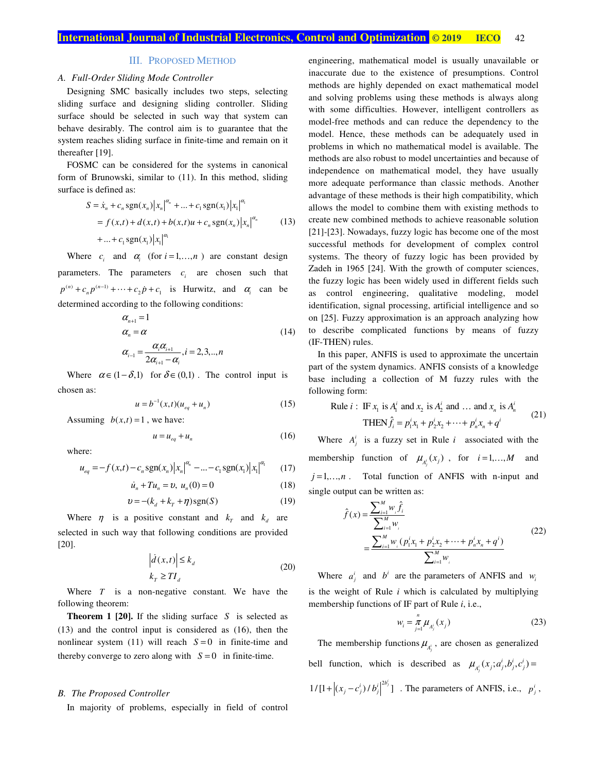## III. PROPOSED METHOD

## *A. Full-Order Sliding Mode Controller*

Designing SMC basically includes two steps, selecting sliding surface and designing sliding controller. Sliding surface should be selected in such way that system can behave desirably. The control aim is to guarantee that the system reaches sliding surface in finite-time and remain on it thereafter [19].

FOSMC can be considered for the systems in canonical form of Brunowski, similar to (11). In this method, sliding surface is defined as:

$$
S = \dot{x}_n + c_n \text{sgn}(x_n) |x_n|^{\alpha_n} + ... + c_1 \text{sgn}(x_1) |x_1|^{\alpha_1}
$$
  
=  $f(x,t) + d(x,t) + b(x,t)u + c_n \text{sgn}(x_n) |x_n|^{\alpha_n}$  (13)  
+ ... +  $c_1 \text{sgn}(x_1) |x_1|^{\alpha_1}$ 

Where  $c_i$  and  $\alpha_i$  (for  $i = 1, ..., n$ ) are constant design parameters. The parameters  $c_i$  are chosen such that  $p^{(n)} + c_n p^{(n-1)} + \cdots + c_2 p + c_1$  is Hurwitz, and  $\alpha_i$  can be determined according to the following conditions:

$$
\alpha_{n+1} = 1
$$
\n
$$
\alpha_n = \alpha
$$
\n
$$
\alpha_{i-1} = \frac{\alpha_i \alpha_{i+1}}{2\alpha_{i+1} - \alpha_i}, i = 2, 3, \dots, n
$$
\n(14)

Where  $\alpha \in (1 - \delta, 1)$  for  $\delta \in (0,1)$ . The control input is chosen as:

$$
u = b^{-1}(x, t)(u_{eq} + u_n)
$$
 (15)

Assuming  $b(x,t) = 1$ , we have:

$$
u = u_{eq} + u_n \tag{16}
$$

where:

$$
u_{eq} = -f(x,t) - c_n \operatorname{sgn}(x_n) |x_n|^{\alpha_n} - \dots - c_1 \operatorname{sgn}(x_1) |x_1|^{\alpha_1} \tag{17}
$$

$$
\dot{u}_n + T u_n = v, \ u_n(0) = 0 \tag{18}
$$

$$
v = -(k_d + k_T + \eta)\text{sgn}(S) \tag{19}
$$

Where  $\eta$  is a positive constant and  $k_T$  and  $k_d$  are selected in such way that following conditions are provided [20].

$$
\left| \dot{d}(x,t) \right| \le k_d
$$
\n
$$
k_T \ge T I_d
$$
\n(20)

Where *T* is a non-negative constant. We have the following theorem:

**Theorem 1 [20].** If the sliding surface *S* is selected as (13) and the control input is considered as (16), then the nonlinear system (11) will reach  $S = 0$  in finite-time and thereby converge to zero along with  $S = 0$  in finite-time.

#### *B. The Proposed Controller*

In majority of problems, especially in field of control

engineering, mathematical model is usually unavailable or inaccurate due to the existence of presumptions. Control methods are highly depended on exact mathematical model and solving problems using these methods is always along with some difficulties. However, intelligent controllers as model-free methods and can reduce the dependency to the model. Hence, these methods can be adequately used in problems in which no mathematical model is available. The methods are also robust to model uncertainties and because of independence on mathematical model, they have usually more adequate performance than classic methods. Another advantage of these methods is their high compatibility, which allows the model to combine them with existing methods to create new combined methods to achieve reasonable solution [21]-[23]. Nowadays, fuzzy logic has become one of the most successful methods for development of complex control systems. The theory of fuzzy logic has been provided by Zadeh in 1965 [24]. With the growth of computer sciences, the fuzzy logic has been widely used in different fields such as control engineering, qualitative modeling, model identification, signal processing, artificial intelligence and so on [25]. Fuzzy approximation is an approach analyzing how to describe complicated functions by means of fuzzy (IF-THEN) rules.

In this paper, ANFIS is used to approximate the uncertain part of the system dynamics. ANFIS consists of a knowledge base including a collection of M fuzzy rules with the following form:

Rule *i*: IF 
$$
x_1
$$
 is  $A_1^i$  and  $x_2$  is  $A_2^i$  and ... and  $x_n$  is  $A_n^i$   
THEN  $\hat{f}_i = p_1^i x_1 + p_2^i x_2 + \dots + p_n^i x_n + q^i$  (21)

Where  $A_j^i$  is a fuzzy set in Rule *i* associated with the membership function of  $\mu_{A_j^i}(x_j)$ , for  $i=1,...,M$  and  $j = 1, \ldots, n$ . Total function of ANFIS with n-input and single output can be written as:

$$
\hat{f}(x) = \frac{\sum_{i=1}^{M} w_i \hat{f}_i}{\sum_{i=1}^{M} w_i}
$$
\n
$$
= \frac{\sum_{i=1}^{M} w_i (p_1^i x_1 + p_2^i x_2 + \dots + p_n^i x_n + q^i)}{\sum_{i=1}^{M} w_i}
$$
\n(22)

Where  $a_j^i$  and  $b^i$  are the parameters of ANFIS and  $w_i$ is the weight of Rule *i* which is calculated by multiplying membership functions of IF part of Rule *i*, i.e.,

$$
w_i = \frac{\pi}{j=1} \mu_{A_j^i}(x_j)
$$
 (23)

The membership functions  $\mu_{A_j^i}$ , are chosen as generalized bell function, which is described as  $\mu_{A_j^i}(x_j; a'_j, b'_j, c'_j)$  $\mu_{A_i^i}(x_j; a_j^i, b_j^i, c_j^i) =$  $1/[1+|(x_j - c_j^i)/b_j^i|^{2b_j^i}]$ . The parameters of ANFIS, i.e.,  $p_j^i$ ,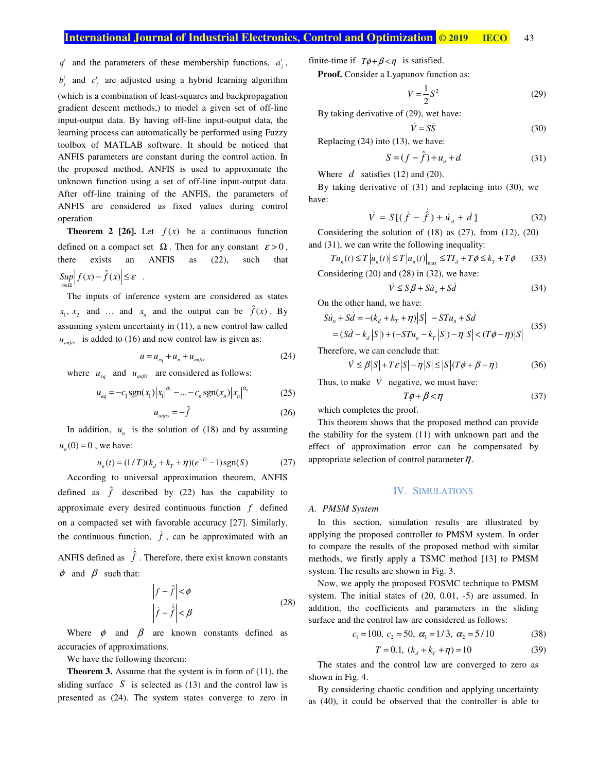# **International Journal of Industrial Electronics, Control and Optimization © 2019 IECO.** 43

 $q^{i}$  and the parameters of these membership functions,  $a^{i}_{j}$ ,  $b^i_j$  and  $c^i_j$  are adjusted using a hybrid learning algorithm (which is a combination of least-squares and backpropagation gradient descent methods,) to model a given set of off-line input-output data. By having off-line input-output data, the learning process can automatically be performed using Fuzzy toolbox of MATLAB software. It should be noticed that ANFIS parameters are constant during the control action. In the proposed method, ANFIS is used to approximate the unknown function using a set of off-line input-output data. After off-line training of the ANFIS, the parameters of ANFIS are considered as fixed values during control operation.

**Theorem 2 [26].** Let  $f(x)$  be a continuous function defined on a compact set  $\Omega$ . Then for any constant  $\varepsilon > 0$ , there exists an ANFIS as (22), such that  $\sup |f(x) - \hat{f}(x)| \leq \varepsilon$ . *x* ∈Ω

The inputs of inference system are considered as states  $x_1, x_2$  and ... and  $x_n$  and the output can be  $\hat{f}(x)$ . By assuming system uncertainty in (11), a new control law called  $u_{\text{anfs}}$  is added to (16) and new control law is given as:

$$
u = u_{eq} + u_n + u_{\text{anfis}} \tag{24}
$$

where  $u_{eq}$  and  $u_{anfis}$  are considered as follows:

$$
u_{eq} = -c_1 \text{sgn}(x_1) |x_1|^{\alpha_1} - \dots - c_n \text{sgn}(x_n) |x_n|^{\alpha_n}
$$
 (25)

$$
u_{\text{anfix}} = -\hat{f} \tag{26}
$$

In addition,  $u_n$  is the solution of (18) and by assuming  $u_n(0) = 0$ , we have:

$$
u_n(t) = (1/T)(k_d + k_T + \eta)(e^{-Tt} - 1)\text{sgn}(S)
$$
 (27)

According to universal approximation theorem, ANFIS defined as  $\hat{f}$  described by (22) has the capability to approximate every desired continuous function *f* defined on a compacted set with favorable accuracy [27]. Similarly, the continuous function,  $\dot{f}$ , can be approximated with an ANFIS defined as  $\dot{\hat{f}}$ . Therefore, there exist known constants  $\phi$  and  $\beta$  such that:

$$
\left| f - \hat{f} \right| < \phi
$$
  
\n
$$
\left| \dot{f} - \hat{f} \right| < \beta
$$
 (28)

Where  $\phi$  and  $\beta$  are known constants defined as accuracies of approximations.

We have the following theorem:

**Theorem 3.** Assume that the system is in form of (11), the sliding surface  $S$  is selected as (13) and the control law is presented as (24). The system states converge to zero in finite-time if  $T\phi + \beta < \eta$  is satisfied.

**Proof.** Consider a Lyapunov function as:

$$
V = \frac{1}{2}S^2\tag{29}
$$

By taking derivative of (29), wet have:

$$
\dot{V} = S\dot{S} \tag{30}
$$

Replacing (24) into (13), we have:

$$
S = (f - \hat{f}) + u_n + d \tag{31}
$$

Where *d* satisfies (12) and (20).

By taking derivative of (31) and replacing into (30), we have:

$$
\dot{V} = S[(\dot{f} - \dot{\hat{f}}) + \dot{u}_n + \dot{d}]
$$
 (32)

Considering the solution of (18) as (27), from (12), (20) and (31), we can write the following inequality:

$$
Tu_n(t) \le T\left|u_n(t)\right| \le T\left|u_n(t)\right|_{\max} \le TI_d + T\phi \le k_T + T\phi \tag{33}
$$

Considering (20) and (28) in (32), we have:

$$
\dot{V} \le S\beta + S\dot{u}_n + S\dot{d} \tag{34}
$$

On the other hand, we have:

$$
S\dot{u}_n + S\dot{d} = -(k_d + k_T + \eta)|S| - STu_n + S\dot{d}
$$
  
=  $(S\dot{d} - k_d|S|) + (-STu_n - k_T|S|) - \eta|S| < (T\phi - \eta)|S|$  (35)

Therefore, we can conclude that:

$$
\dot{V} \le \beta \left| S \right| + T \varepsilon \left| S \right| - \eta \left| S \right| \le \left| S \right| (T \phi + \beta - \eta) \tag{36}
$$

Thus, to make  $\dot{V}$  negative, we must have:

$$
T\phi + \beta < \eta \tag{37}
$$

which completes the proof.

This theorem shows that the proposed method can provide the stability for the system (11) with unknown part and the effect of approximation error can be compensated by appropriate selection of control parameter  $\eta$ .

### IV. SIMULATIONS

#### *A. PMSM System*

In this section, simulation results are illustrated by applying the proposed controller to PMSM system. In order to compare the results of the proposed method with similar methods, we firstly apply a TSMC method [13] to PMSM system. The results are shown in Fig. 3.

Now, we apply the proposed FOSMC technique to PMSM system. The initial states of (20, 0.01, -5) are assumed. In addition, the coefficients and parameters in the sliding surface and the control law are considered as follows:

$$
c_1 = 100, \ c_2 = 50, \ \alpha_1 = 1/3, \ \alpha_2 = 5/10 \tag{38}
$$

$$
T = 0.1, \ (k_d + k_T + \eta) = 10 \tag{39}
$$

The states and the control law are converged to zero as shown in Fig. 4.

By considering chaotic condition and applying uncertainty as (40), it could be observed that the controller is able to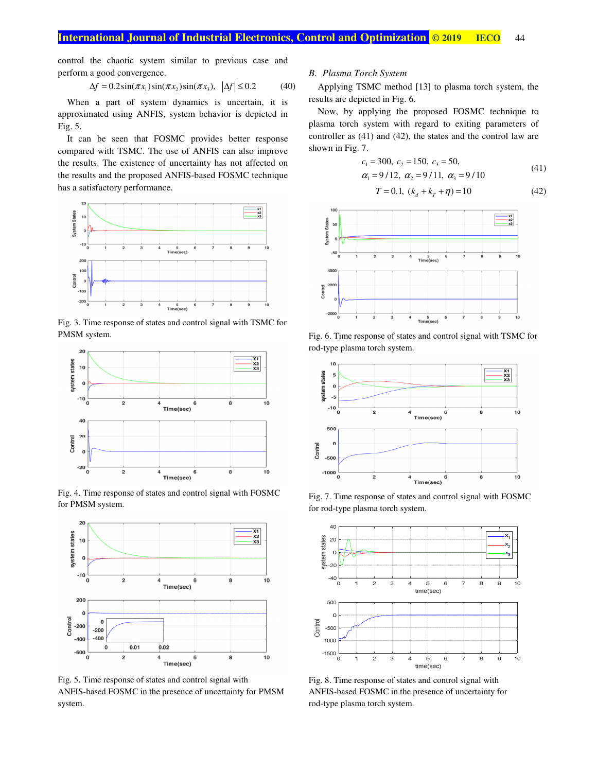control the chaotic system similar to previous case and perform a good convergence.

$$
\Delta f = 0.2 \sin(\pi x_1) \sin(\pi x_2) \sin(\pi x_3), \quad |\Delta f| \le 0.2 \tag{40}
$$

When a part of system dynamics is uncertain, it is approximated using ANFIS, system behavior is depicted in Fig. 5.

It can be seen that FOSMC provides better response compared with TSMC. The use of ANFIS can also improve the results. The existence of uncertainty has not affected on the results and the proposed ANFIS-based FOSMC technique has a satisfactory performance.



Fig. 3. Time response of states and control signal with TSMC for PMSM system.



Fig. 4. Time response of states and control signal with FOSMC for PMSM system.



Fig. 5. Time response of states and control signal with ANFIS-based FOSMC in the presence of uncertainty for PMSM system.

## *B. Plasma Torch System*

Applying TSMC method [13] to plasma torch system, the results are depicted in Fig. 6.

Now, by applying the proposed FOSMC technique to plasma torch system with regard to exiting parameters of controller as (41) and (42), the states and the control law are shown in Fig. 7.

$$
c_1 = 300, c_2 = 150, c_3 = 50,
$$
  
\n
$$
\alpha_1 = 9/12, \alpha_2 = 9/11, \alpha_3 = 9/10
$$
\n(41)

$$
T = 0.1, (k_d + k_T + \eta) = 10 \tag{42}
$$



Fig. 6. Time response of states and control signal with TSMC for rod-type plasma torch system.



Fig. 7. Time response of states and control signal with FOSMC for rod-type plasma torch system.



Fig. 8. Time response of states and control signal with ANFIS-based FOSMC in the presence of uncertainty for rod-type plasma torch system.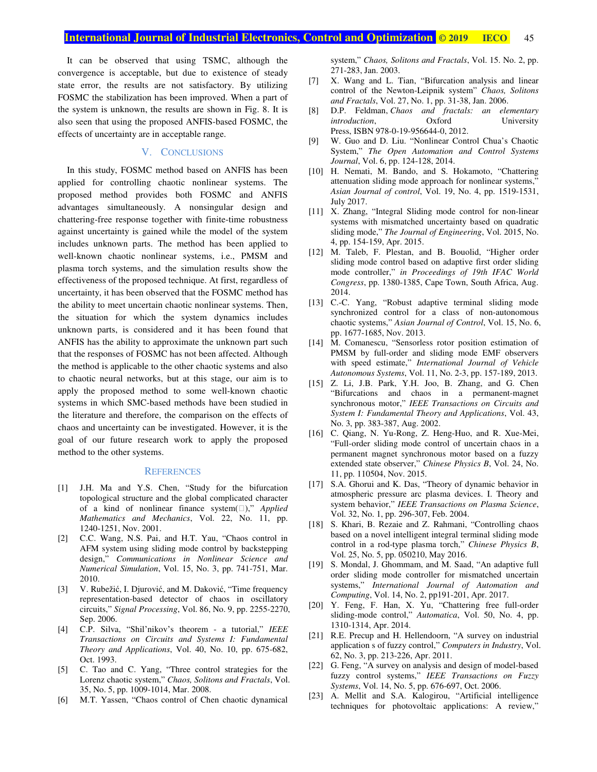It can be observed that using TSMC, although the convergence is acceptable, but due to existence of steady state error, the results are not satisfactory. By utilizing FOSMC the stabilization has been improved. When a part of the system is unknown, the results are shown in Fig. 8. It is also seen that using the proposed ANFIS-based FOSMC, the effects of uncertainty are in acceptable range.

## V. CONCLUSIONS

In this study, FOSMC method based on ANFIS has been applied for controlling chaotic nonlinear systems. The proposed method provides both FOSMC and ANFIS advantages simultaneously. A nonsingular design and chattering-free response together with finite-time robustness against uncertainty is gained while the model of the system includes unknown parts. The method has been applied to well-known chaotic nonlinear systems, i.e., PMSM and plasma torch systems, and the simulation results show the effectiveness of the proposed technique. At first, regardless of uncertainty, it has been observed that the FOSMC method has the ability to meet uncertain chaotic nonlinear systems. Then, the situation for which the system dynamics includes unknown parts, is considered and it has been found that ANFIS has the ability to approximate the unknown part such that the responses of FOSMC has not been affected. Although the method is applicable to the other chaotic systems and also to chaotic neural networks, but at this stage, our aim is to apply the proposed method to some well-known chaotic systems in which SMC-based methods have been studied in the literature and therefore, the comparison on the effects of chaos and uncertainty can be investigated. However, it is the goal of our future research work to apply the proposed method to the other systems.

#### **REFERENCES**

- [1] J.H. Ma and Y.S. Chen, "Study for the bifurcation topological structure and the global complicated character of a kind of nonlinear finance system( $\square$ )," *Applied Mathematics and Mechanics*, Vol. 22, No. 11, pp. 1240-1251, Nov. 2001.
- [2] C.C. Wang, N.S. Pai, and H.T. Yau, "Chaos control in AFM system using sliding mode control by backstepping design," *Communications in Nonlinear Science and Numerical Simulation*, Vol. 15, No. 3, pp. 741-751, Mar. 2010.
- [3] V. Rubežić, I. Djurović, and M. Daković, "Time frequency representation-based detector of chaos in oscillatory circuits," *Signal Processing*, Vol. 86, No. 9, pp. 2255-2270, Sep. 2006.
- [4] C.P. Silva, "Shil'nikov's theorem a tutorial," *IEEE Transactions on Circuits and Systems I: Fundamental Theory and Applications*, Vol. 40, No. 10, pp. 675-682, Oct. 1993.
- [5] C. Tao and C. Yang, "Three control strategies for the Lorenz chaotic system," *Chaos, Solitons and Fractals*, Vol. 35, No. 5, pp. 1009-1014, Mar. 2008.
- [6] M.T. Yassen, "Chaos control of Chen chaotic dynamical

system," *Chaos, Solitons and Fractals*, Vol. 15. No. 2, pp. 271-283, Jan. 2003.

- [7] X. Wang and L. Tian, "Bifurcation analysis and linear control of the Newton-Leipnik system" *Chaos, Solitons and Fractals*, Vol. 27, No. 1, pp. 31-38, Jan. 2006.
- [8] D.P. Feldman, *Chaos and fractals: an elementary introduction*, **Oxford** University Press, ISBN 978-0-19-956644-0, 2012.
- [9] W. Guo and D. Liu. "Nonlinear Control Chua's Chaotic System," *The Open Automation and Control Systems Journal*, Vol. 6, pp. 124-128, 2014.
- [10] H. Nemati, M. Bando, and S. Hokamoto, "Chattering attenuation sliding mode approach for nonlinear systems," *Asian Journal of control*, Vol. 19, No. 4, pp. 1519-1531, July 2017.
- [11] X. Zhang, "Integral Sliding mode control for non-linear systems with mismatched uncertainty based on quadratic sliding mode," *The Journal of Engineering*, Vol. 2015, No. 4, pp. 154-159, Apr. 2015.
- [12] M. Taleb, F. Plestan, and B. Bouolid, "Higher order sliding mode control based on adaptive first order sliding mode controller," *in Proceedings of 19th IFAC World Congress*, pp. 1380-1385, Cape Town, South Africa, Aug. 2014.
- [13] C.-C. Yang, "Robust adaptive terminal sliding mode synchronized control for a class of non-autonomous chaotic systems," *Asian Journal of Control*, Vol. 15, No. 6, pp. 1677-1685, Nov. 2013.
- [14] M. Comanescu, "Sensorless rotor position estimation of PMSM by full-order and sliding mode EMF observers with speed estimate," *International Journal of Vehicle Autonomous Systems*, Vol. 11, No. 2-3, pp. 157-189, 2013.
- [15] Z. Li, J.B. Park, Y.H. Joo, B. Zhang, and G. Chen "Bifurcations and chaos in a permanent-magnet synchronous motor," *IEEE Transactions on Circuits and System I: Fundamental Theory and Applications*, Vol. 43, No. 3, pp. 383-387, Aug. 2002.
- [16] C. Qiang, N. Yu-Rong, Z. Heng-Huo, and R. Xue-Mei, "Full-order sliding mode control of uncertain chaos in a permanent magnet synchronous motor based on a fuzzy extended state observer," *Chinese Physics B*, Vol. 24, No. 11, pp. 110504, Nov. 2015.
- [17] S.A. Ghorui and K. Das, "Theory of dynamic behavior in atmospheric pressure arc plasma devices. I. Theory and system behavior," *IEEE Transactions on Plasma Science*, Vol. 32, No. 1, pp. 296-307, Feb. 2004.
- [18] S. Khari, B. Rezaie and Z. Rahmani, "Controlling chaos based on a novel intelligent integral terminal sliding mode control in a rod-type plasma torch," *Chinese Physics B*, Vol. 25, No. 5, pp. 050210, May 2016.
- [19] S. Mondal, J. Ghommam, and M. Saad, "An adaptive full order sliding mode controller for mismatched uncertain systems," *International Journal of Automation and Computing*, Vol. 14, No. 2, pp191-201, Apr. 2017.
- [20] Y. Feng, F. Han, X. Yu, "Chattering free full-order sliding-mode control," *Automatica*, Vol. 50, No. 4, pp. 1310-1314, Apr. 2014.
- [21] R.E. Precup and H. Hellendoorn, "A survey on industrial application s of fuzzy control," *Computers in Industry*, Vol. 62, No. 3, pp. 213-226, Apr. 2011.
- [22] G. Feng, "A survey on analysis and design of model-based fuzzy control systems," *IEEE Transactions on Fuzzy Systems*, Vol. 14, No. 5, pp. 676-697, Oct. 2006.
- [23] A. Mellit and S.A. Kalogirou, "Artificial intelligence techniques for photovoltaic applications: A review,"